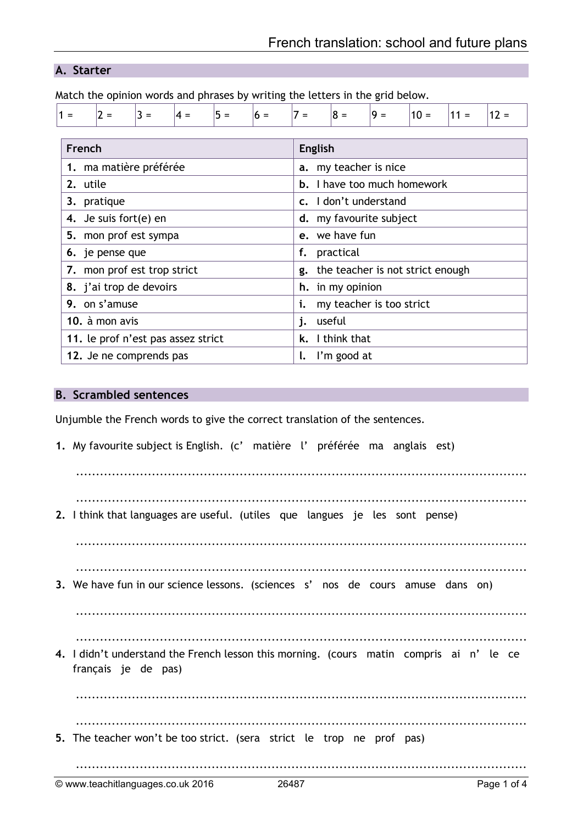# **A. Starter**

Match the opinion words and phrases by writing the letters in the grid below.

| $11 =$ | $\prime =$             | $3 =$ | 4 = | $ 5 =$ | $h =$ | $' =$                 | $8 =$   | 19 = | $10 =$ | $=$ | $12 =$ |  |
|--------|------------------------|-------|-----|--------|-------|-----------------------|---------|------|--------|-----|--------|--|
|        |                        |       |     |        |       |                       |         |      |        |     |        |  |
|        | French                 |       |     |        |       |                       | English |      |        |     |        |  |
|        | 1. ma matière préférée |       |     |        |       | a. my teacher is nice |         |      |        |     |        |  |
|        |                        |       |     |        |       |                       |         |      |        |     |        |  |

| 2. utile                           | <b>b.</b> I have too much homework  |
|------------------------------------|-------------------------------------|
| 3. pratique                        | c. I don't understand               |
| 4. Je suis fort(e) en              | d. my favourite subject             |
| 5. mon prof est sympa              | e. we have fun                      |
| 6. je pense que                    | f. practical                        |
| 7. mon prof est trop strict        | g. the teacher is not strict enough |
| 8. j'ai trop de devoirs            | h. in my opinion                    |
| 9. on s'amuse                      | i. my teacher is too strict         |
| 10. à mon avis                     | j. useful                           |
| 11. le prof n'est pas assez strict | k. I think that                     |
| 12. Je ne comprends pas            | $\mathsf{l}$ . I'm good at          |

### **B. Scrambled sentences**

Unjumble the French words to give the correct translation of the sentences.

**1.** My favourite subject is English. (c' matière l' préférée ma anglais est) ................................................................................................................. ................................................................................................................. **2.** I think that languages are useful. (utiles que langues je les sont pense) ................................................................................................................. ................................................................................................................. **3.** We have fun in our science lessons. (sciences s' nos de cours amuse dans on) ................................................................................................................. ................................................................................................................. **4.** I didn't understand the French lesson this morning. (cours matin compris ai n' le ce français je de pas) ................................................................................................................. ................................................................................................................. **5.** The teacher won't be too strict. (sera strict le trop ne prof pas) .................................................................................................................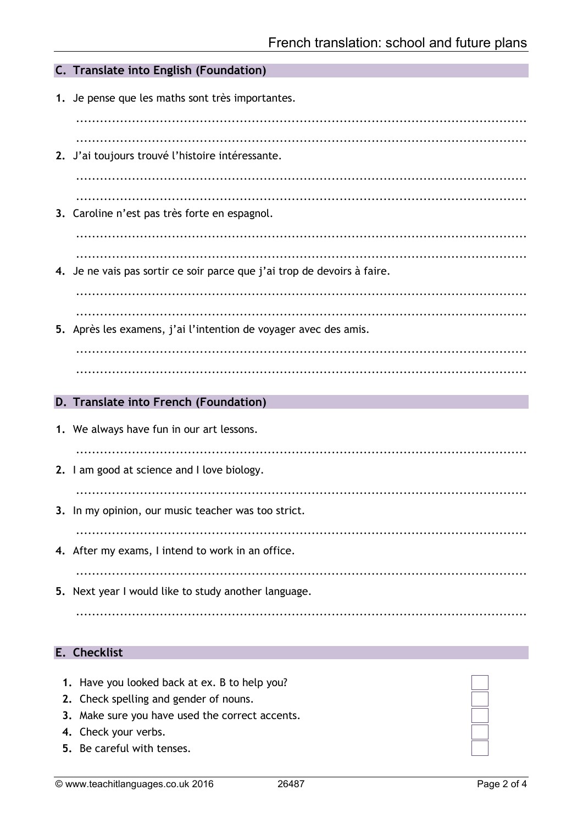| C. Translate into English (Foundation)                                   |
|--------------------------------------------------------------------------|
| 1. Je pense que les maths sont très importantes.                         |
| 2. J'ai toujours trouvé l'histoire intéressante.                         |
| 3. Caroline n'est pas très forte en espagnol.                            |
| 4. Je ne vais pas sortir ce soir parce que j'ai trop de devoirs à faire. |
| 5. Après les examens, j'ai l'intention de voyager avec des amis.         |
|                                                                          |
| D. Translate into French (Foundation)                                    |
| 1. We always have fun in our art lessons.                                |
| 2. I am good at science and I love biology.                              |
| 3. In my opinion, our music teacher was too strict.                      |
| 4. After my exams, I intend to work in an office.                        |
| 5. Next year I would like to study another language.                     |
|                                                                          |

### E. Checklist

- 1. Have you looked back at ex. B to help you?
- 2. Check spelling and gender of nouns.
- 3. Make sure you have used the correct accents.
- 4. Check your verbs.
- 5. Be careful with tenses.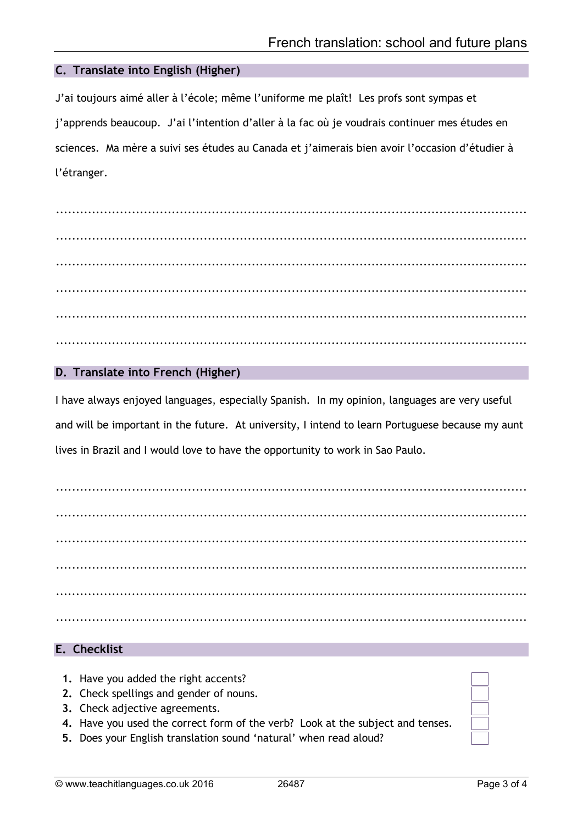### **C. Translate into English (Higher)**

J'ai toujours aimé aller à l'école; même l'uniforme me plaît! Les profs sont sympas et j'apprends beaucoup. J'ai l'intention d'aller à la fac où je voudrais continuer mes études en sciences. Ma mère a suivi ses études au Canada et j'aimerais bien avoir l'occasion d'étudier à l'étranger.

...................................................................................................................... ...................................................................................................................... ...................................................................................................................... ...................................................................................................................... ...................................................................................................................... ......................................................................................................................

## **D. Translate into French (Higher)**

I have always enjoyed languages, especially Spanish. In my opinion, languages are very useful and will be important in the future. At university, I intend to learn Portuguese because my aunt lives in Brazil and I would love to have the opportunity to work in Sao Paulo.

...................................................................................................................... ...................................................................................................................... ...................................................................................................................... ...................................................................................................................... ...................................................................................................................... ......................................................................................................................

### **E. Checklist**

- **1.** Have you added the right accents?
- **2.** Check spellings and gender of nouns.
- **3.** Check adjective agreements.
- **4.** Have you used the correct form of the verb? Look at the subject and tenses.
- **5.** Does your English translation sound 'natural' when read aloud?